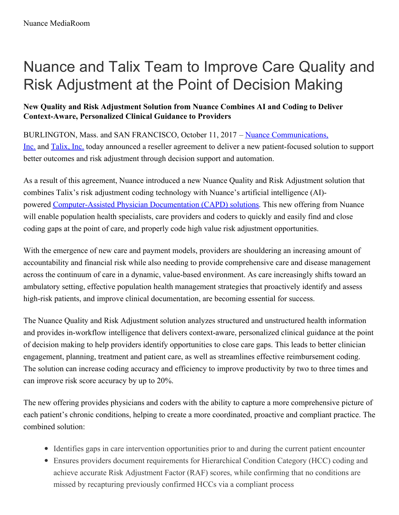# Nuance and Talix Team to Improve Care Quality and Risk Adjustment at the Point of Decision Making

## **New Quality and Risk Adjustment Solution from Nuance Combines AI and Coding to Deliver Context-Aware, Personalized Clinical Guidance to Providers**

BURLINGTON, Mass. and SAN FRANCISCO, October 11, 2017 – Nuance [Communications,](http://www.nuance.com/for-healthcare/index.htm) Inc. and [Talix,](http://www.talix.com/) Inc. today announced a reseller agreement to deliver a new patient-focused solution to support better outcomes and risk adjustment through decision support and automation.

As a result of this agreement, Nuance introduced a new Nuance Quality and Risk Adjustment solution that combines Talix's risk adjustment coding technology with Nuance's artificial intelligence (AI) powered [Computer-Assisted](https://www.nuance.com/healthcare/clintegrity/documentation-improvement/computer-assisted-physician-documentation.html?utm_source=PR&utm_medium=press-release&utm_campaign=capd-2017-report) Physician Documentation (CAPD) solutions. This new offering from Nuance will enable population health specialists, care providers and coders to quickly and easily find and close coding gaps at the point of care, and properly code high value risk adjustment opportunities.

With the emergence of new care and payment models, providers are shouldering an increasing amount of accountability and financial risk while also needing to provide comprehensive care and disease management across the continuum of care in a dynamic, value-based environment. As care increasingly shifts toward an ambulatory setting, effective population health management strategies that proactively identify and assess high-risk patients, and improve clinical documentation, are becoming essential for success.

The Nuance Quality and Risk Adjustment solution analyzes structured and unstructured health information and provides in-workflow intelligence that delivers context-aware, personalized clinical guidance at the point of decision making to help providers identify opportunities to close care gaps. This leads to better clinician engagement, planning, treatment and patient care, as well as streamlines effective reimbursement coding. The solution can increase coding accuracy and efficiency to improve productivity by two to three times and can improve risk score accuracy by up to 20%.

The new offering provides physicians and coders with the ability to capture a more comprehensive picture of each patient's chronic conditions, helping to create a more coordinated, proactive and compliant practice. The combined solution:

- Identifies gaps in care intervention opportunities prior to and during the current patient encounter
- Ensures providers document requirements for Hierarchical Condition Category (HCC) coding and achieve accurate Risk Adjustment Factor (RAF) scores, while confirming that no conditions are missed by recapturing previously confirmed HCCs via a compliant process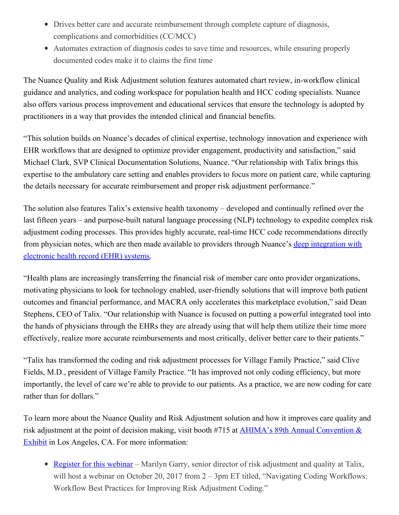- Drives better care and accurate reimbursement through complete capture of diagnosis, complications and comorbidities (CC/MCC)
- Automates extraction of diagnosis codes to save time and resources, while ensuring properly documented codes make it to claims the first time

The Nuance Quality and Risk Adjustment solution features automated chart review, in-workflow clinical guidance and analytics, and coding workspace for population health and HCC coding specialists. Nuance also offers various process improvement and educational services that ensure the technology is adopted by practitioners in a way that provides the intended clinical and financial benefits.

"This solution builds on Nuance's decades of clinical expertise, technology innovation and experience with EHR workflows that are designed to optimize provider engagement, productivity and satisfaction," said Michael Clark, SVP Clinical Documentation Solutions, Nuance. "Our relationship with Talix brings this expertise to the ambulatory care setting and enables providers to focus more on patient care, while capturing the details necessary for accurate reimbursement and proper risk adjustment performance."

The solution also features Talix's extensive health taxonomy – developed and continually refined over the last fifteen years – and purpose-built natural language processing (NLP) technology to expedite complex risk adjustment coding processes. This provides highly accurate, real-time HCC code recommendations directly from physician notes, which are then made available to providers through Nuance's deep [integration](https://www.nuance.com/healthcare/ehr-partnerships.html) with electronic health record (EHR) systems.

"Health plans are increasingly transferring the financial risk of member care onto provider organizations, motivating physicians to look for technology enabled, user-friendly solutions that will improve both patient outcomes and financial performance, and MACRA only accelerates this marketplace evolution," said Dean Stephens, CEO of Talix. "Our relationship with Nuance is focused on putting a powerful integrated tool into the hands of physicians through the EHRs they are already using that will help them utilize their time more effectively, realize more accurate reimbursements and most critically, deliver better care to their patients."

"Talix has transformed the coding and risk adjustment processes for Village Family Practice," said Clive Fields, M.D., president of Village Family Practice. "It has improved not only coding efficiency, but more importantly, the level of care we're able to provide to our patients. As a practice, we are now coding for care rather than for dollars."

To learn more about the Nuance Quality and Risk Adjustment solution and how it improves care quality and risk adjustment at the point of decision making, visit booth #715 at AHIMA's 89th Annual Convention & Exhibit in Los Angeles, CA. For more [information:](http://www.ahima.org/convention)

• [Register](http://info.talix.com/Webinar-Navigating-Coding-Workflows-Friday-10-20) for this webinar – Marilyn Garry, senior director of risk adjustment and quality at Talix, will host a webinar on October 20, 2017 from 2 – 3pm ET titled, "Navigating Coding Workflows: Workflow Best Practices for Improving Risk Adjustment Coding."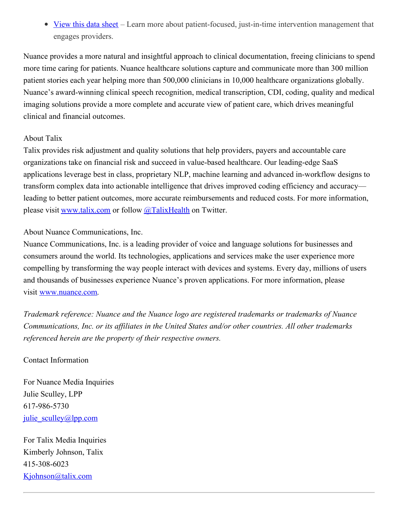• [View](https://www.nuance.com/content/dam/nuance/en_us/collateral/healthcare/data-sheet/ds-nuance-quality-and-risk-adjustment-ds-en-us.pdf) this data sheet – Learn more about patient-focused, just-in-time intervention management that engages providers.

Nuance provides a more natural and insightful approach to clinical documentation, freeing clinicians to spend more time caring for patients. Nuance healthcare solutions capture and communicate more than 300 million patient stories each year helping more than 500,000 clinicians in 10,000 healthcare organizations globally. Nuance's award-winning clinical speech recognition, medical transcription, CDI, coding, quality and medical imaging solutions provide a more complete and accurate view of patient care, which drives meaningful clinical and financial outcomes.

### About Talix

Talix provides risk adjustment and quality solutions that help providers, payers and accountable care organizations take on financial risk and succeed in value-based healthcare. Our leading-edge SaaS applications leverage best in class, proprietary NLP, machine learning and advanced in-workflow designs to transform complex data into actionable intelligence that drives improved coding efficiency and accuracy leading to better patient outcomes, more accurate reimbursements and reduced costs. For more information, please visit [www.talix.com](http://www.talix.com/) or follow [@TalixHealth](https://twitter.com/TalixHealth) on Twitter.

### About Nuance Communications, Inc.

Nuance Communications, Inc. is a leading provider of voice and language solutions for businesses and consumers around the world. Its technologies, applications and services make the user experience more compelling by transforming the way people interact with devices and systems. Every day, millions of users and thousands of businesses experience Nuance's proven applications. For more information, please visit [www.nuance.com](http://www.nuance.com/).

*Trademark reference: Nuance and the Nuance logo are registered trademarks or trademarks of Nuance Communications, Inc. or its af iliates in the United States and/or other countries. All other trademarks referenced herein are the property of their respective owners.*

### Contact Information

For Nuance Media Inquiries Julie Sculley, LPP 617-986-5730 [julie\\_sculley@lpp.com](mailto:)

For Talix Media Inquiries Kimberly Johnson, Talix 415-308-6023 [Kjohnson@talix.com](mailto:Kjohnson@talix.com)